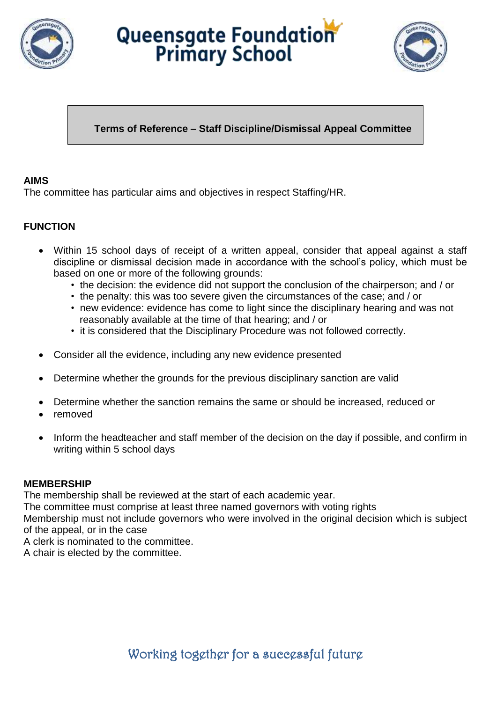





# **Terms of Reference – Staff Discipline/Dismissal Appeal Committee**

### **AIMS**

The committee has particular aims and objectives in respect Staffing/HR.

## **FUNCTION**

- Within 15 school days of receipt of a written appeal, consider that appeal against a staff discipline or dismissal decision made in accordance with the school's policy, which must be based on one or more of the following grounds:
	- the decision: the evidence did not support the conclusion of the chairperson; and / or
	- the penalty: this was too severe given the circumstances of the case; and / or
	- new evidence: evidence has come to light since the disciplinary hearing and was not reasonably available at the time of that hearing; and / or
	- it is considered that the Disciplinary Procedure was not followed correctly.
- Consider all the evidence, including any new evidence presented
- Determine whether the grounds for the previous disciplinary sanction are valid
- Determine whether the sanction remains the same or should be increased, reduced or
- removed
- Inform the headteacher and staff member of the decision on the day if possible, and confirm in writing within 5 school days

#### **MEMBERSHIP**

The membership shall be reviewed at the start of each academic year.

The committee must comprise at least three named governors with voting rights

Membership must not include governors who were involved in the original decision which is subject of the appeal, or in the case

A clerk is nominated to the committee.

A chair is elected by the committee.